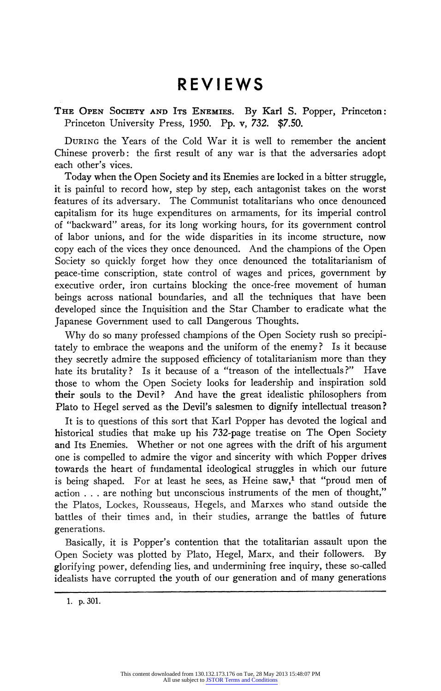## **REVIEWS**

## **THE OPEN SOCIETY AND ITS ENEMIES. By Karl S. Popper, Princeton: Princeton University Press, 1950. Pp. v, 732. \$7.50.**

**DURING the Years of the Cold War it is well to remember the ancient Chinese proverb: the first result of any war is that the adversaries adopt each other's vices.** 

**Today when the Open Society and its Enemies are locked in a bitter struggle, it is painful to record how, step by step, each antagonist takes on the worst features of its adversary. The Communist totalitarians who once denounced capitalism for its huge expenditures on armaments, for its imperial control of "backward" areas, for its long working hours, for its government control of labor unions, and for the wide disparities in its income structure, now copy each of the vices they once denounced. And the champions of the Open Society so quickly forget how they once denounced the totalitarianism of peace-time conscription, state control of wages and prices, government by executive order, iron curtains blocking the once-free movement of human beings across national boundaries, and all the techniques that have been developed since the Inquisition and the Star Chamber to eradicate what the Japanese Government used to call Dangerous Thoughts.** 

**Why do so many professed champions of the Open Society rush so precipitately to embrace the weapons and the uniform of the enemy? Is it because they secretly admire the supposed efficiency of totalitarianism more than they hate its brutality? Is it because of a "treason of the intellectuals?" Have those to whom the Open Society looks for leadership and inspiration sold their souls to the Devil? And have the great idealistic philosophers from Plato to Hegel served as the Devil's salesmen to dignify intellectual treason?** 

**It is to questions of this sort that Karl Popper has devoted the logical and historical studies that make up his 732-page treatise on The Open Society and Its Enemies. Whether or not one agrees with the drift of his argument one is compelled to admire the vigor and sincerity with which Popper drives towards the heart of fundamental ideological struggles in which our future**  is being shaped. For at least he sees, as Heine saw,<sup>1</sup> that "proud men of **action . .. are nothing but unconscious instruments of the men of thought," the Platos, Lockes, Rousseaus, Hegels, and Marxes who stand outside the battles of their times and, in their studies, arrange the battles of future generations.** 

**Basically, it is Popper's contention that the totalitarian assault upon the**  Open Society was plotted by Plato, Hegel, Marx, and their followers. **glorifying power, defending lies, and undermining free inquiry, these so-called idealists have corrupted the youth of our generation and of many generations** 

**<sup>1.</sup> p.301.**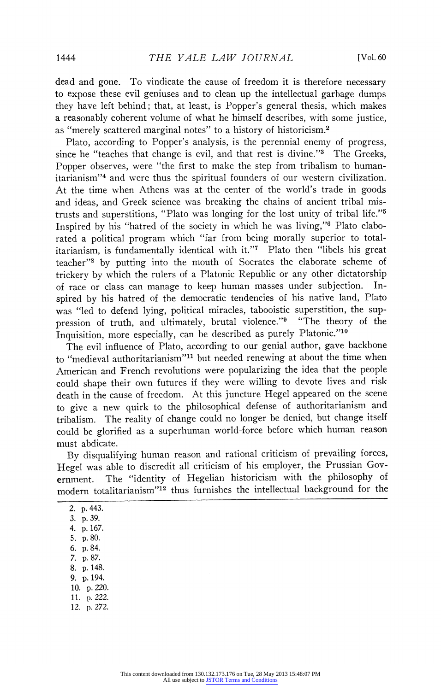**dead and gone. To vindicate the cause of freedom it is therefore necessary to expose these evil geniuses and to clean up the intellectual garbage dumps they have left behind; that, at least, is Popper's general thesis, which makes a reasonably coherent volume of what he himself describes, with some justice, as "merely scattered marginal notes" to a history of historicism.2** 

**Plato, according to Popper's analysis, is the perennial enemy of progress, since he "teaches that change is evil, and that rest is divine."3 The Greeks, Popper observes, were "the first to make the step from tribalism to humanitarianism"4 and were thus the spiritual founders of our western civilization. At the time when Athens was at the center of the world's trade in goods and ideas, and Greek science was breaking the chains of ancient tribal mistrusts and superstitions, "Plato was longing for the lost unity of tribal life."5 Inspired by his "hatred of the society in which he was living,"6 Plato elaborated a political program which "far from being morally superior to totalitarianism, is fundamentally identical with it."7 Plato then "libels his great teacher"8 by putting into the mouth of Socrates the elaborate scheme of trickery by which the rulers of a Platonic Republic or any other dictatorship**  of race or class can manage to keep human masses under subjection. **spired by his hatred of the democratic tendencies of his native land, Plato was "led to defend lying, political miracles, tabooistic superstition, the suppression of truth, and ultimately, brutal violence."9 "The theory of the**  Inquisition, more especially, can be described as purely Platonic."<sup>10</sup>

**The evil influence of Plato, according to our genial author, gave backbone to "medieval authoritarianism"1l but needed renewing at about the time when American and French revolutions were popularizing the idea that the people could shape their own futures if they were willing to devote lives and risk death in the cause of freedom. At this juncture Hegel appeared on the scene to give a new quirk to the philosophical defense of authoritarianism and tribalism. The reality of change could no longer be denied, but change itself could be glorified as a superhuman world-force before which human reason must abdicate.** 

**By disqualifying human reason and rational criticism of prevailing forces, Hegel was able to discredit all criticism of his employer, the Prussian Gov-**The "identity of Hegelian historicism with the philosophy of **modern totalitarianism"'2 thus furnishes the intellectual background for the** 

**2. p.443. 3. p.39. 4. p.167. 5. p.80. 6. p.84. 7. p.87. 8. p.148. 9. p.194. 10. p.220. 11. p.222. 12. p.272.**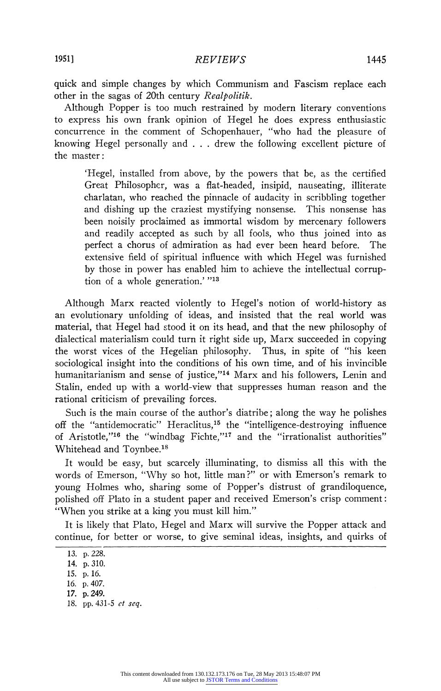**quick and simple changes by which Communism and Fascism replace each other in the sagas of 20th century Realpolitik.** 

**Although Popper is too much restrained by modern literary conventions to express his own frank opinion of Hegel he does express enthusiastic concurrence in the comment of Schopenhauer, "who had the pleasure of knowing Hegel personally and . . . drew the following excellent picture of the master:** 

**'Hegel, installed from above, by the powers that be, as the certified Great Philosopher, was a flat-headed, insipid, nauseating, illiterate charlatan, who reached the pinnacle of audacity in scribbling together and dishing up the craziest mystifying nonsense. This nonsense has been noisily proclaimed as immortal wisdom by mercenary followers and readily accepted as such by all fools, who thus joined into as perfect a chorus of admiration as had ever been heard before. The extensive field of spiritual influence with which Hegel was furnished by those in power has enabled him to achieve the intellectual corruption of a whole generation.' "13** 

**Although Marx reacted violently to Hegel's notion of world-history as an evolutionary unfolding of ideas, and insisted that the real world was material, that Hegel had stood it on its head, and that the new philosophy of dialectical materialism could turn it right side up, Marx succeeded in copying**  the worst vices of the Hegelian philosophy. **sociological insight into the conditions of his own time, and of his invincible humanitarianism and sense of justice,"14 Marx and his followers, Lenin and Stalin, ended up with a world-view that suppresses human reason and the rational criticism of prevailing forces.** 

**Such is the main course of the author's diatribe; along the way he polishes off the "antidemocratic" Heraclitus,15 the "intelligence-destroying influence of Aristotle,"16 the "windbag Fichte,"17 and the "irrationalist authorities" Whitehead and Toynbee.18** 

**It would be easy, but scarcely illuminating, to dismiss all this with the words of Emerson, "Why so hot, little man?" or with Emerson's remark to young Holmes who, sharing some of Popper's distrust of grandiloquence, polished off Plato in a student paper and received Emerson's crisp comment: "When you strike at a king you must kill him."** 

**It is likely that Plato, Hegel and Marx will survive the Popper attack and continue, for better or worse, to give seminal ideas, insights, and quirks of** 

**<sup>13.</sup> p. 228.** 

**<sup>14.</sup> p.310.** 

**<sup>15.</sup> p. 16.** 

**<sup>16.</sup> p.407.** 

**<sup>17.</sup> p.249.** 

**<sup>18.</sup> pp. 431-5 et seq.**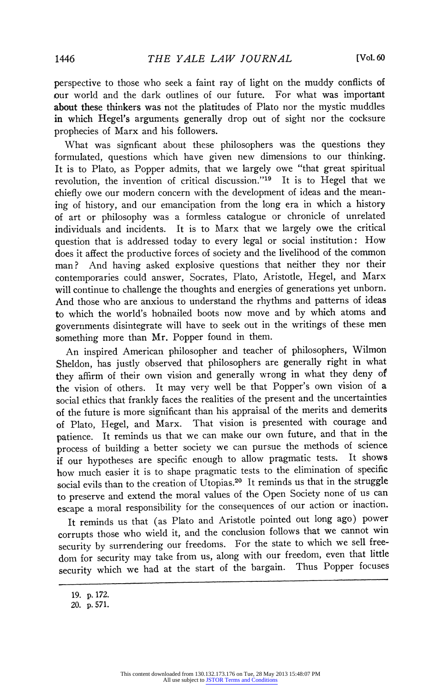**perspective to those who seek a faint ray of light on the muddy conflicts of our world and the dark outlines of our future. For what was important about these thinkers was not the platitudes of Plato nor the mystic muddles in which Hegel's arguments generally drop out of sight nor the cocksure prophecies of Marx and his followers.** 

**What was signficant about these philosophers was the questions they formulated, questions which have given new dimensions to our thinking. It is to Plato, as Popper admits, that we largely owe "that great spiritual revolution, the invention of critical discussion."19 It is to Hegel that we chiefly owe our modern concern with the development of ideas and the meaning of history, and our emancipation from the long era in which a history of art or philosophy was a formless catalogue or chronicle of unrelated individuals and incidents. It is to Marx that we largely owe the critical question that is addressed today to every legal or social institution: How does it affect the productive forces of society and the livelihood of the common man? And having asked explosive questions that neither they nor their contemporaries could answer, Socrates, Plato, Aristotle, Hegel, and Marx will continue to challenge the thoughts and energies of generations yet unborn. And those who are anxious to understand the rhythms and patterns of ideas to which the world's hobnailed boots now move and by which atoms and governments disintegrate will have to seek out in the writings of these men something more than Mr. Popper found in them.** 

**An inspired American philosopher and teacher of philosophers, Wilmon Sheldon, has justly observed that philosophers are generally right in what they affirm of their own vision and generally wrong in what they deny of the vision of others. It may very well be that Popper's own vision of a social ethics that frankly faces the realities of the present and the uncertainties of the future is more significant than his appraisal of the merits and demerits of Plato, Hegel, and Marx. That vision is presented with courage and patience. It reminds us that we can make our own future, and that in the process of building a better society we can pursue the methods of science if our hypotheses are specific enough to allow pragmatic tests. It shows how much easier it is to shape pragmatic tests to the elimination of specific social evils than to the creation of Utopias.20 It reminds us that in the struggle to preserve and extend the moral values of the Open Society none of us can escape a moral responsibility for the consequences of our action or inaction.** 

**It reminds us that (as Plato and Aristotle pointed out long ago) power corrupts those who wield it, and the conclusion follows that we cannot win security by surrendering our freedoms. For the state to which we sell freedom for security may take from us, along with our freedom, even that little security which we had at the start of the bargain. Thus Popper focuses** 

**<sup>19.</sup> p. 172.** 

**<sup>20.</sup> p.571.**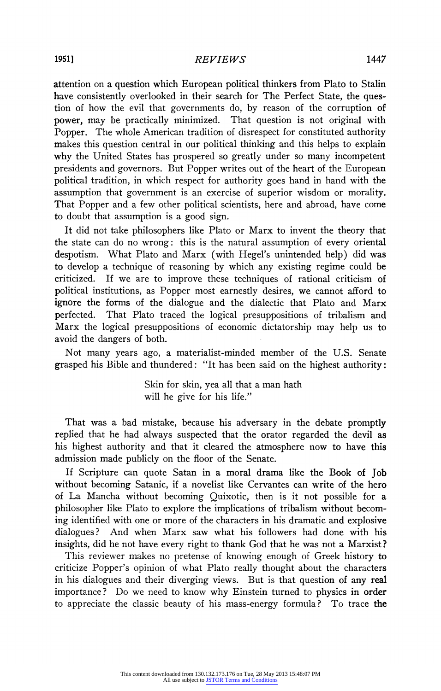## **REVIEWS 1951] 1447**

**attention on a question which European political thinkers from Plato to Stalin have consistently overlooked in their search for The Perfect State, the question of how the evil that governments do, by reason of the corruption of power, may be practically minimized. That question is not original with Popper. The whole American tradition of disrespect for constituted authority makes this question central in our political thinking and this helps to explain why the United States has prospered so greatly under so many incompetent presidents and governors. But Popper writes out of the heart of the European political tradition, in which respect for authority goes hand in hand with the assumption that government is an exercise of superior wisdom or morality. That Popper and a few other political scientists, here and abroad, have come to doubt that assumption is a good sign.** 

**It did not take philosophers like Plato or Marx to invent the theory that the state can do no wrong: this is the natural assumption of every oriental despotism. What Plato and Marx (with Hegel's unintended help) did was to develop a technique of reasoning by which any existing regime could be criticized. If we are to improve these techniques of rational criticism of political institutions, as Popper most earnestly desires, we cannot afford to ignore the forms of the dialogue and the dialectic that Plato and Marx perfected. That Plato traced the logical presuppositions of tribalism and Marx the logical presuppositions of economic dictatorship may help us to avoid the dangers of both.** 

**Not many years ago, a materialist-minded member of the U.S. Senate grasped his Bible and thundered: "It has been said on the highest authority:** 

> **Skin for skin, yea all that a man hath will he give for his life."**

**That was a bad mistake, because his adversary in the debate promptly replied that he had always suspected that the orator regarded the devil as his highest authority and that it cleared the atmosphere now to have this admission made publicly on the floor of the Senate.** 

**If Scripture can quote Satan in a moral drama like the Book of Job without becoming Satanic, if a novelist like Cervantes can write of the hero of La Mancha without becoming Quixotic, then is it not possible for a philosopher like Plato to explore the implications of tribalism without becoming identified with one or more of the characters in his dramatic and explosive**  And when Marx saw what his followers had done with his **insights, did he not have every right to thank God that he was not a Marxist?** 

**This reviewer makes no pretense of knowing enough of Greek history to criticize Popper's opinion of what Plato really thought about the characters in his dialogues and their diverging views. But is that question of any real importance? Do we need to know why Einstein turned to physics in order to appreciate the classic beauty of his mass-energy formula? To trace the**